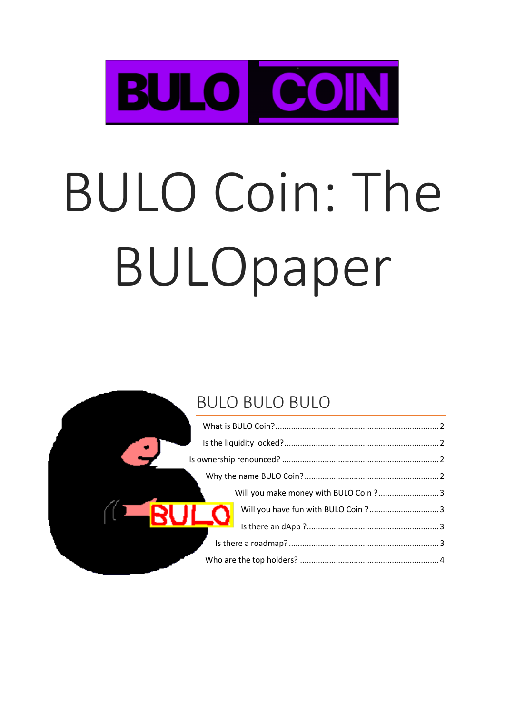

# **BULO Coin: The** BULOpaper

## **BULO BULO BULO**

|                | Will you make money with BULO Coin ? 3 |  |
|----------------|----------------------------------------|--|
| $\blacksquare$ | Will you have fun with BULO Coin ? 3   |  |
|                |                                        |  |
|                |                                        |  |
|                |                                        |  |
|                |                                        |  |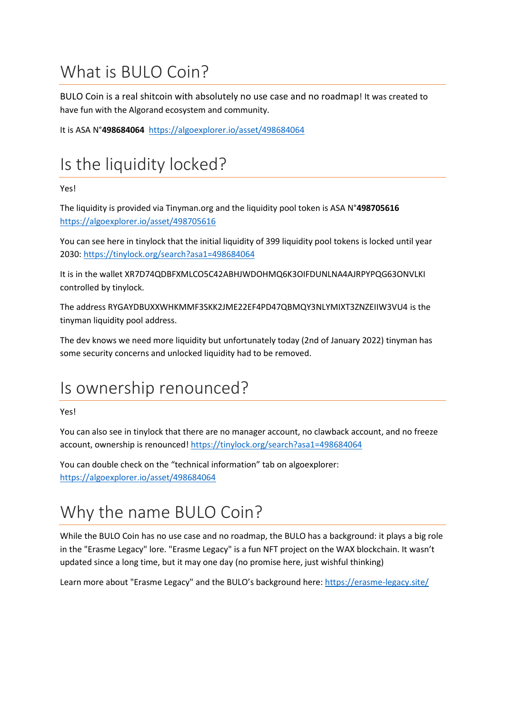# <span id="page-1-0"></span>What is BULO Coin?

BULO Coin is a real shitcoin with absolutely no use case and no roadmap! It was created to have fun with the Algorand ecosystem and community.

It is ASA N°**498684064** <https://algoexplorer.io/asset/498684064>

# <span id="page-1-1"></span>Is the liquidity locked?

#### Yes!

The liquidity is provided via Tinyman.org and the liquidity pool token is ASA N°**498705616** <https://algoexplorer.io/asset/498705616>

You can see here in tinylock that the initial liquidity of 399 liquidity pool tokens is locked until year 2030[: https://tinylock.org/search?asa1=498684064](https://tinylock.org/search?asa1=498684064)

It is in the wallet XR7D74QDBFXMLCO5C42ABHJWDOHMQ6K3OIFDUNLNA4AJRPYPQG63ONVLKI controlled by tinylock.

The address RYGAYDBUXXWHKMMF3SKK2JME22EF4PD47QBMQY3NLYMIXT3ZNZEIIW3VU4 is the tinyman liquidity pool address.

The dev knows we need more liquidity but unfortunately today (2nd of January 2022) tinyman has some security concerns and unlocked liquidity had to be removed.

# <span id="page-1-2"></span>Is ownership renounced?

#### Yes!

You can also see in tinylock that there are no manager account, no clawback account, and no freeze account, ownership is renounced! <https://tinylock.org/search?asa1=498684064>

You can double check on the "technical information" tab on algoexplorer: <https://algoexplorer.io/asset/498684064>

# <span id="page-1-3"></span>Why the name BULO Coin?

While the BULO Coin has no use case and no roadmap, the BULO has a background: it plays a big role in the "Erasme Legacy" lore. "Erasme Legacy" is a fun NFT project on the WAX blockchain. It wasn't updated since a long time, but it may one day (no promise here, just wishful thinking)

Learn more about "Erasme Legacy" and the BULO's background here:<https://erasme-legacy.site/>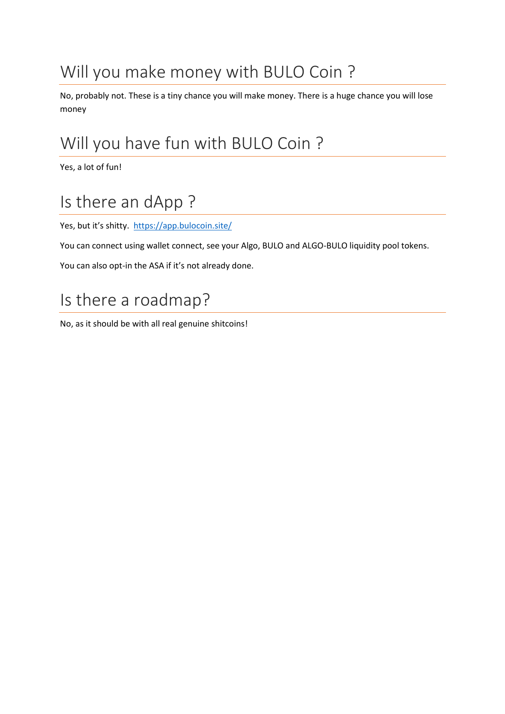# <span id="page-2-0"></span>Will you make money with BULO Coin ?

No, probably not. These is a tiny chance you will make money. There is a huge chance you will lose money

# <span id="page-2-1"></span>Will you have fun with BULO Coin ?

Yes, a lot of fun!

# <span id="page-2-2"></span>Is there an dApp ?

Yes, but it's shitty.<https://app.bulocoin.site/>

You can connect using wallet connect, see your Algo, BULO and ALGO-BULO liquidity pool tokens.

You can also opt-in the ASA if it's not already done.

## <span id="page-2-3"></span>Is there a roadmap?

No, as it should be with all real genuine shitcoins!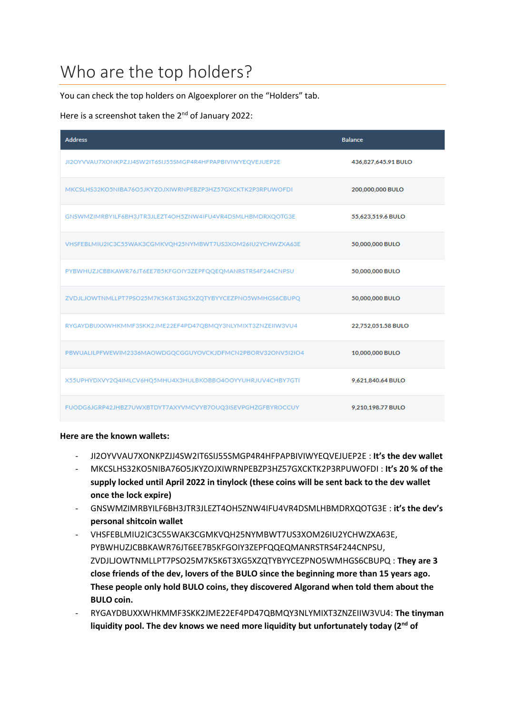## <span id="page-3-0"></span>Who are the top holders?

You can check the top holders on Algoexplorer on the "Holders" tab.

Here is a screenshot taken the 2<sup>nd</sup> of January 2022:

| <b>Address</b>                                             | <b>Balance</b>      |
|------------------------------------------------------------|---------------------|
| JI2OYVVAU7XONKPZJJ4SW2IT6SIJ55SMGP4R4HFPAPBIVIWYEQVEJUEP2E | 436,827,645.91 BULO |
| MKCSLHS32KO5NIBA76O5JKYZOJXIWRNPEBZP3HZ57GXCKTK2P3RPUWOFDI | 200,000,000 BULO    |
| GNSWMZIMRBYILF6BH3JTR3JLEZT4OH5ZNW4IFU4VR4DSMLHBMDRXQOTG3E | 55,623,519.6 BULO   |
| VHSFEBLMIU2IC3C55WAK3CGMKVQH25NYMBWT7US3XOM26IU2YCHWZXA63E | 50,000,000 BULO     |
| PYBWHUZJCBBKAWR76JT6EE7B5KFGOIY3ZEPFQQEQMANRSTRS4F244CNPSU | 50,000,000 BULO     |
| ZVDJLJOWTNMLLPT7PSO25M7K5K6T3XG5XZQTYBYYCEZPNO5WMHGS6CBUPQ | 50,000,000 BULO     |
| RYGAYDBUXXWHKMMF3SKK2JME22EF4PD47QBMQY3NLYMIXT3ZNZEIIW3VU4 | 22,752,051.58 BULO  |
| PBWUALILPFWEWIM2336MAOWDGQCGGUYOVCKJDFMCN2PBORV32ONV5I2IO4 | 10,000,000 BULO     |
| X55UPHYDXVY2Q4IMLCV6HQ5MHU4X3HULBKOBBO4OOYYUHRJUV4CHBY7GTI | 9,621,840.64 BULO   |
| FUODG6JGRP42JHBZ7UWXBTDYT7AXYVMCVYB7OUQ3ISEVPGHZGFBYROCCUY | 9,210,198.77 BULO   |

#### **Here are the known wallets:**

- JI2OYVVAU7XONKPZJJ4SW2IT6SIJ55SMGP4R4HFPAPBIVIWYEQVEJUEP2E : **It's the dev wallet**
- MKCSLHS32KO5NIBA76O5JKYZOJXIWRNPEBZP3HZ57GXCKTK2P3RPUWOFDI : **It's 20 % of the supply locked until April 2022 in tinylock (these coins will be sent back to the dev wallet once the lock expire)**
- GNSWMZIMRBYILF6BH3JTR3JLEZT4OH5ZNW4IFU4VR4DSMLHBMDRXQOTG3E : **it's the dev's personal shitcoin wallet**
- VHSFEBLMIU2IC3C55WAK3CGMKVQH25NYMBWT7US3XOM26IU2YCHWZXA63E, PYBWHUZJCBBKAWR76JT6EE7B5KFGOIY3ZEPFQQEQMANRSTRS4F244CNPSU, ZVDJLJOWTNMLLPT7PSO25M7K5K6T3XG5XZQTYBYYCEZPNO5WMHGS6CBUPQ : **They are 3 close friends of the dev, lovers of the BULO since the beginning more than 15 years ago. These people only hold BULO coins, they discovered Algorand when told them about the BULO coin.**
- RYGAYDBUXXWHKMMF3SKK2JME22EF4PD47QBMQY3NLYMIXT3ZNZEIIW3VU4: **The tinyman liquidity pool. The dev knows we need more liquidity but unfortunately today (2nd of**